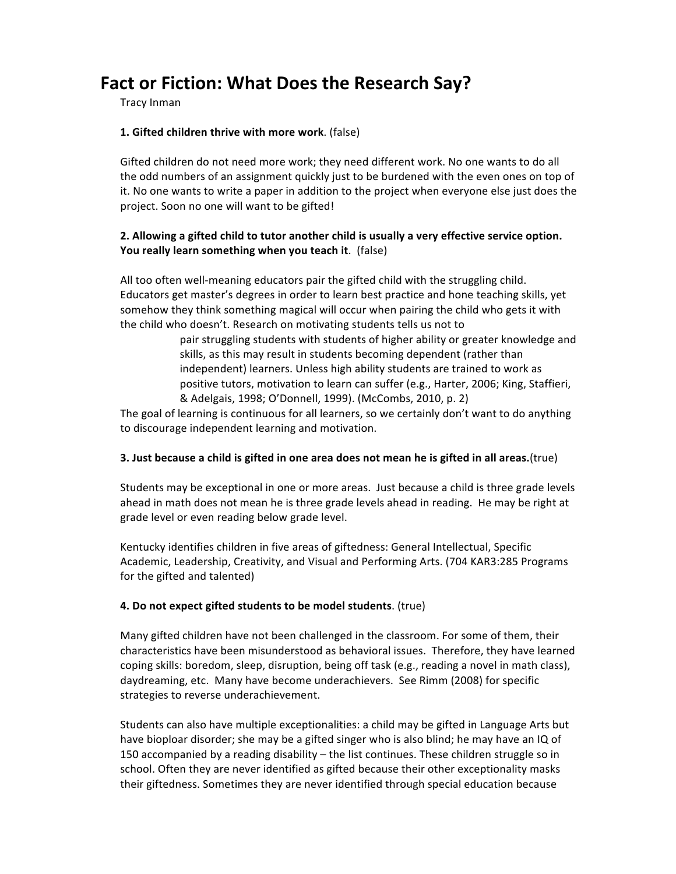# Fact or Fiction: What Does the Research Say?

Tracy Inman

# **1.** Gifted children thrive with more work. (false)

Gifted children do not need more work; they need different work. No one wants to do all the odd numbers of an assignment quickly just to be burdened with the even ones on top of it. No one wants to write a paper in addition to the project when everyone else just does the project. Soon no one will want to be gifted!

# 2. Allowing a gifted child to tutor another child is usually a very effective service option. **You really learn something when you teach it.** (false)

All too often well-meaning educators pair the gifted child with the struggling child. Educators get master's degrees in order to learn best practice and hone teaching skills, yet somehow they think something magical will occur when pairing the child who gets it with the child who doesn't. Research on motivating students tells us not to

pair struggling students with students of higher ability or greater knowledge and skills, as this may result in students becoming dependent (rather than independent) learners. Unless high ability students are trained to work as positive tutors, motivation to learn can suffer (e.g., Harter, 2006; King, Staffieri, & Adelgais, 1998; O'Donnell, 1999). (McCombs, 2010, p. 2)

The goal of learning is continuous for all learners, so we certainly don't want to do anything to discourage independent learning and motivation.

### **3.** Just because a child is gifted in one area does not mean he is gifted in all areas.(true)

Students may be exceptional in one or more areas. Just because a child is three grade levels ahead in math does not mean he is three grade levels ahead in reading. He may be right at grade level or even reading below grade level.

Kentucky identifies children in five areas of giftedness: General Intellectual, Specific Academic, Leadership, Creativity, and Visual and Performing Arts. (704 KAR3:285 Programs for the gifted and talented)

### **4.** Do not expect gifted students to be model students. (true)

Many gifted children have not been challenged in the classroom. For some of them, their characteristics have been misunderstood as behavioral issues. Therefore, they have learned coping skills: boredom, sleep, disruption, being off task (e.g., reading a novel in math class), daydreaming, etc. Many have become underachievers. See Rimm (2008) for specific strategies to reverse underachievement.

Students can also have multiple exceptionalities: a child may be gifted in Language Arts but have bioploar disorder; she may be a gifted singer who is also blind; he may have an IQ of 150 accompanied by a reading disability  $-$  the list continues. These children struggle so in school. Often they are never identified as gifted because their other exceptionality masks their giftedness. Sometimes they are never identified through special education because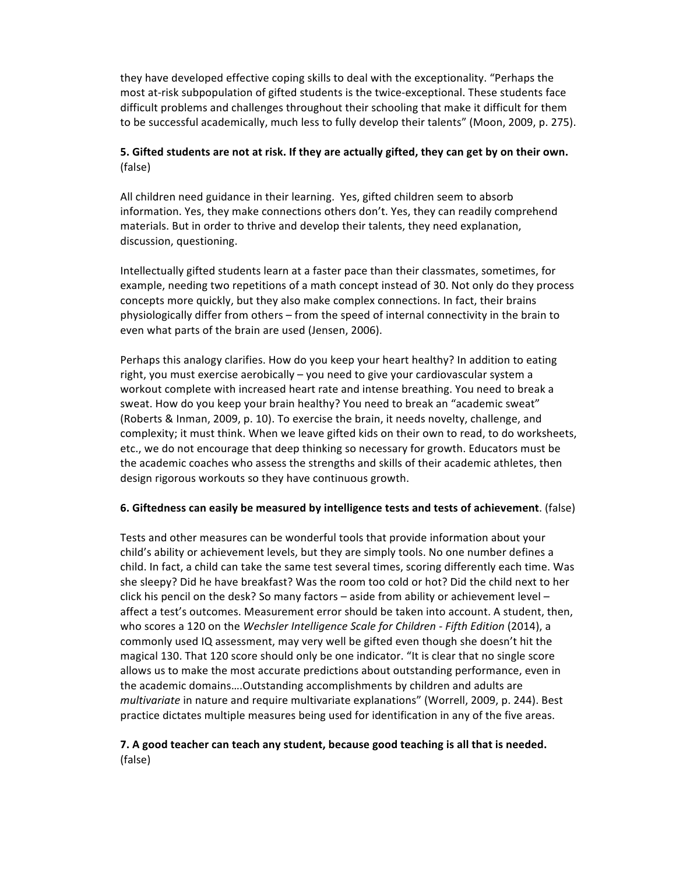they have developed effective coping skills to deal with the exceptionality. "Perhaps the most at-risk subpopulation of gifted students is the twice-exceptional. These students face difficult problems and challenges throughout their schooling that make it difficult for them to be successful academically, much less to fully develop their talents" (Moon, 2009, p. 275).

# **5.** Gifted students are not at risk. If they are actually gifted, they can get by on their own. (false)

All children need guidance in their learning. Yes, gifted children seem to absorb information. Yes, they make connections others don't. Yes, they can readily comprehend materials. But in order to thrive and develop their talents, they need explanation, discussion, questioning.

Intellectually gifted students learn at a faster pace than their classmates, sometimes, for example, needing two repetitions of a math concept instead of 30. Not only do they process concepts more quickly, but they also make complex connections. In fact, their brains physiologically differ from others – from the speed of internal connectivity in the brain to even what parts of the brain are used (Jensen, 2006).

Perhaps this analogy clarifies. How do you keep your heart healthy? In addition to eating right, you must exercise aerobically  $-$  you need to give your cardiovascular system a workout complete with increased heart rate and intense breathing. You need to break a sweat. How do you keep your brain healthy? You need to break an "academic sweat" (Roberts & Inman, 2009, p. 10). To exercise the brain, it needs novelty, challenge, and complexity; it must think. When we leave gifted kids on their own to read, to do worksheets, etc., we do not encourage that deep thinking so necessary for growth. Educators must be the academic coaches who assess the strengths and skills of their academic athletes, then design rigorous workouts so they have continuous growth.

### **6.** Giftedness can easily be measured by intelligence tests and tests of achievement. (false)

Tests and other measures can be wonderful tools that provide information about your child's ability or achievement levels, but they are simply tools. No one number defines a child. In fact, a child can take the same test several times, scoring differently each time. Was she sleepy? Did he have breakfast? Was the room too cold or hot? Did the child next to her click his pencil on the desk? So many factors  $-$  aside from ability or achievement level  $$ affect a test's outcomes. Measurement error should be taken into account. A student, then, who scores a 120 on the *Wechsler Intelligence Scale for Children* - *Fifth Edition* (2014), a commonly used IQ assessment, may very well be gifted even though she doesn't hit the magical 130. That 120 score should only be one indicator. "It is clear that no single score allows us to make the most accurate predictions about outstanding performance, even in the academic domains.... Outstanding accomplishments by children and adults are *multivariate* in nature and require multivariate explanations" (Worrell, 2009, p. 244). Best practice dictates multiple measures being used for identification in any of the five areas.

# **7.** A good teacher can teach any student, because good teaching is all that is needed. (false)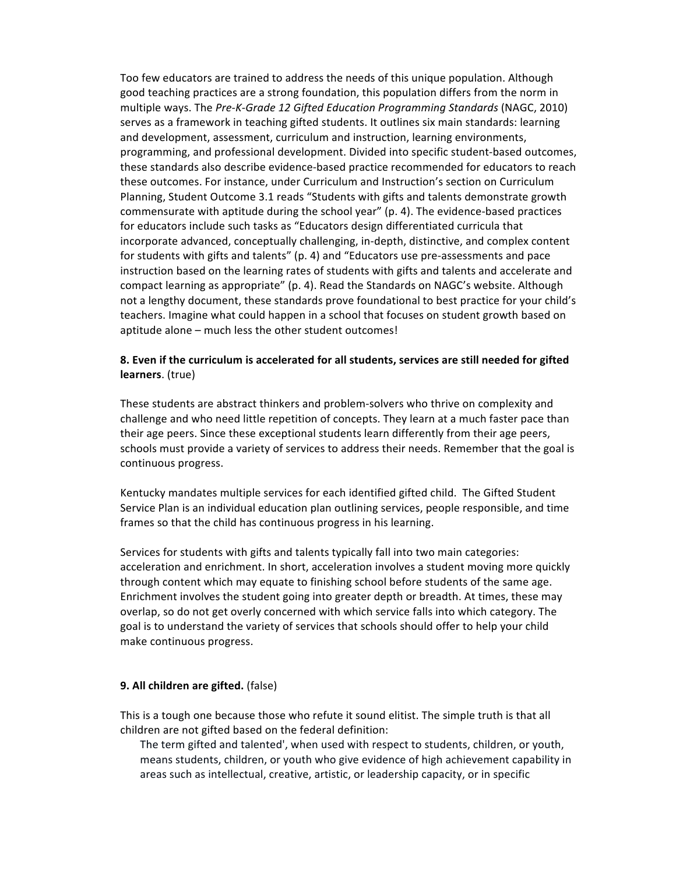Too few educators are trained to address the needs of this unique population. Although good teaching practices are a strong foundation, this population differs from the norm in multiple ways. The Pre-K-Grade 12 Gifted Education Programming Standards (NAGC, 2010) serves as a framework in teaching gifted students. It outlines six main standards: learning and development, assessment, curriculum and instruction, learning environments, programming, and professional development. Divided into specific student-based outcomes, these standards also describe evidence-based practice recommended for educators to reach these outcomes. For instance, under Curriculum and Instruction's section on Curriculum Planning, Student Outcome 3.1 reads "Students with gifts and talents demonstrate growth commensurate with aptitude during the school year" (p. 4). The evidence-based practices for educators include such tasks as "Educators design differentiated curricula that incorporate advanced, conceptually challenging, in-depth, distinctive, and complex content for students with gifts and talents" (p. 4) and "Educators use pre-assessments and pace instruction based on the learning rates of students with gifts and talents and accelerate and compact learning as appropriate" (p. 4). Read the Standards on NAGC's website. Although not a lengthy document, these standards prove foundational to best practice for your child's teachers. Imagine what could happen in a school that focuses on student growth based on aptitude alone – much less the other student outcomes!

# 8. Even if the curriculum is accelerated for all students, services are still needed for gifted **learners**. (true)

These students are abstract thinkers and problem-solvers who thrive on complexity and challenge and who need little repetition of concepts. They learn at a much faster pace than their age peers. Since these exceptional students learn differently from their age peers, schools must provide a variety of services to address their needs. Remember that the goal is continuous progress.

Kentucky mandates multiple services for each identified gifted child. The Gifted Student Service Plan is an individual education plan outlining services, people responsible, and time frames so that the child has continuous progress in his learning.

Services for students with gifts and talents typically fall into two main categories: acceleration and enrichment. In short, acceleration involves a student moving more quickly through content which may equate to finishing school before students of the same age. Enrichment involves the student going into greater depth or breadth. At times, these may overlap, so do not get overly concerned with which service falls into which category. The goal is to understand the variety of services that schools should offer to help your child make continuous progress.

#### **9. All children are gifted.** (false)

This is a tough one because those who refute it sound elitist. The simple truth is that all children are not gifted based on the federal definition:

The term gifted and talented', when used with respect to students, children, or youth, means students, children, or youth who give evidence of high achievement capability in areas such as intellectual, creative, artistic, or leadership capacity, or in specific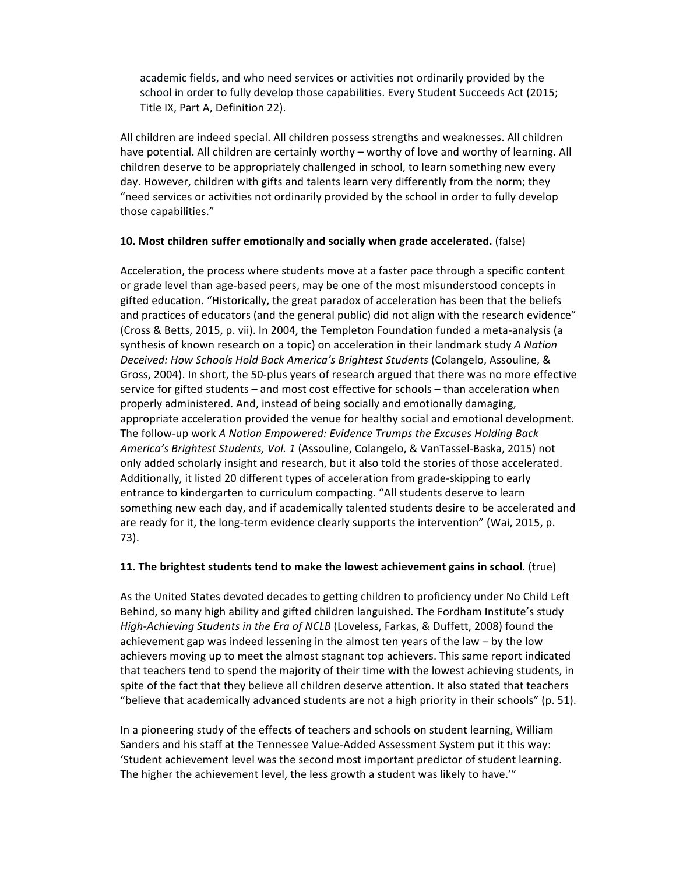academic fields, and who need services or activities not ordinarily provided by the school in order to fully develop those capabilities. Every Student Succeeds Act (2015; Title IX, Part A, Definition 22).

All children are indeed special. All children possess strengths and weaknesses. All children have potential. All children are certainly worthy – worthy of love and worthy of learning. All children deserve to be appropriately challenged in school, to learn something new every day. However, children with gifts and talents learn very differently from the norm; they "need services or activities not ordinarily provided by the school in order to fully develop those capabilities."

### **10.** Most children suffer emotionally and socially when grade accelerated. (false)

Acceleration, the process where students move at a faster pace through a specific content or grade level than age-based peers, may be one of the most misunderstood concepts in gifted education. "Historically, the great paradox of acceleration has been that the beliefs and practices of educators (and the general public) did not align with the research evidence" (Cross & Betts, 2015, p. vii). In 2004, the Templeton Foundation funded a meta-analysis (a synthesis of known research on a topic) on acceleration in their landmark study *A Nation Deceived: How Schools Hold Back America's Brightest Students* (Colangelo, Assouline, & Gross, 2004). In short, the 50-plus years of research argued that there was no more effective service for gifted students  $-$  and most cost effective for schools  $-$  than acceleration when properly administered. And, instead of being socially and emotionally damaging, appropriate acceleration provided the venue for healthy social and emotional development. The follow-up work *A Nation Empowered: Evidence Trumps the Excuses Holding Back America's Brightest Students, Vol. 1* (Assouline, Colangelo, & VanTassel-Baska, 2015) not only added scholarly insight and research, but it also told the stories of those accelerated. Additionally, it listed 20 different types of acceleration from grade-skipping to early entrance to kindergarten to curriculum compacting. "All students deserve to learn something new each day, and if academically talented students desire to be accelerated and are ready for it, the long-term evidence clearly supports the intervention" (Wai, 2015, p. 73). 

# **11.** The brightest students tend to make the lowest achievement gains in school. (true)

As the United States devoted decades to getting children to proficiency under No Child Left Behind, so many high ability and gifted children languished. The Fordham Institute's study *High-Achieving Students in the Era of NCLB* (Loveless, Farkas, & Duffett, 2008) found the achievement gap was indeed lessening in the almost ten years of the law  $-$  by the low achievers moving up to meet the almost stagnant top achievers. This same report indicated that teachers tend to spend the majority of their time with the lowest achieving students, in spite of the fact that they believe all children deserve attention. It also stated that teachers "believe that academically advanced students are not a high priority in their schools" (p. 51).

In a pioneering study of the effects of teachers and schools on student learning, William Sanders and his staff at the Tennessee Value-Added Assessment System put it this way: 'Student achievement level was the second most important predictor of student learning. The higher the achievement level, the less growth a student was likely to have.""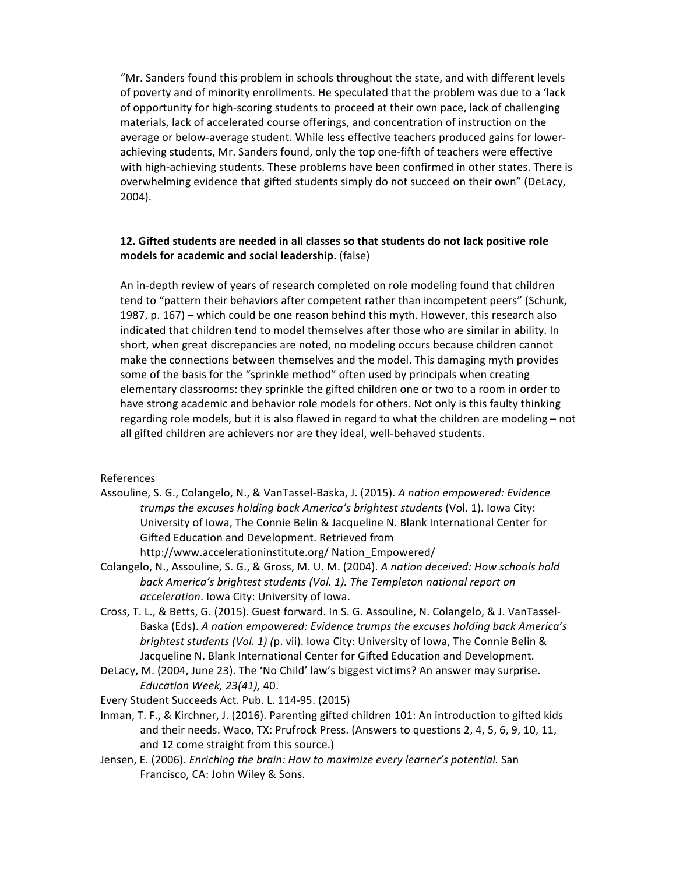"Mr. Sanders found this problem in schools throughout the state, and with different levels of poverty and of minority enrollments. He speculated that the problem was due to a 'lack of opportunity for high-scoring students to proceed at their own pace, lack of challenging materials, lack of accelerated course offerings, and concentration of instruction on the average or below-average student. While less effective teachers produced gains for lowerachieving students, Mr. Sanders found, only the top one-fifth of teachers were effective with high-achieving students. These problems have been confirmed in other states. There is overwhelming evidence that gifted students simply do not succeed on their own" (DeLacy, 2004).

### **12.** Gifted students are needed in all classes so that students do not lack positive role **models for academic and social leadership.** (false)

An in-depth review of years of research completed on role modeling found that children tend to "pattern their behaviors after competent rather than incompetent peers" (Schunk, 1987,  $p. 167$ ) – which could be one reason behind this myth. However, this research also indicated that children tend to model themselves after those who are similar in ability. In short, when great discrepancies are noted, no modeling occurs because children cannot make the connections between themselves and the model. This damaging myth provides some of the basis for the "sprinkle method" often used by principals when creating elementary classrooms: they sprinkle the gifted children one or two to a room in order to have strong academic and behavior role models for others. Not only is this faulty thinking regarding role models, but it is also flawed in regard to what the children are modeling - not all gifted children are achievers nor are they ideal, well-behaved students.

#### References

- Assouline, S. G., Colangelo, N., & VanTassel-Baska, J. (2015). A nation empowered: Evidence *trumps the excuses holding back America's brightest students* (Vol. 1). Iowa City: University of Iowa, The Connie Belin & Jacqueline N. Blank International Center for Gifted Education and Development. Retrieved from http://www.accelerationinstitute.org/ Nation\_Empowered/
- Colangelo, N., Assouline, S. G., & Gross, M. U. M. (2004). A nation deceived: How schools hold back America's brightest students (Vol. 1). The Templeton national report on *acceleration*. Iowa City: University of Iowa.
- Cross, T. L., & Betts, G. (2015). Guest forward. In S. G. Assouline, N. Colangelo, & J. VanTassel-Baska (Eds). A nation empowered: Evidence trumps the excuses holding back America's *brightest students* (*Vol. 1*) (p. vii). Iowa City: University of Iowa, The Connie Belin & Jacqueline N. Blank International Center for Gifted Education and Development.
- DeLacy, M. (2004, June 23). The 'No Child' law's biggest victims? An answer may surprise. *Education Week, 23(41),* 40.
- Every Student Succeeds Act. Pub. L. 114-95. (2015)
- Inman, T. F., & Kirchner, J. (2016). Parenting gifted children 101: An introduction to gifted kids and their needs. Waco, TX: Prufrock Press. (Answers to questions 2, 4, 5, 6, 9, 10, 11, and 12 come straight from this source.)
- Jensen, E. (2006). *Enriching the brain: How to maximize every learner's potential.* San Francisco, CA: John Wiley & Sons.